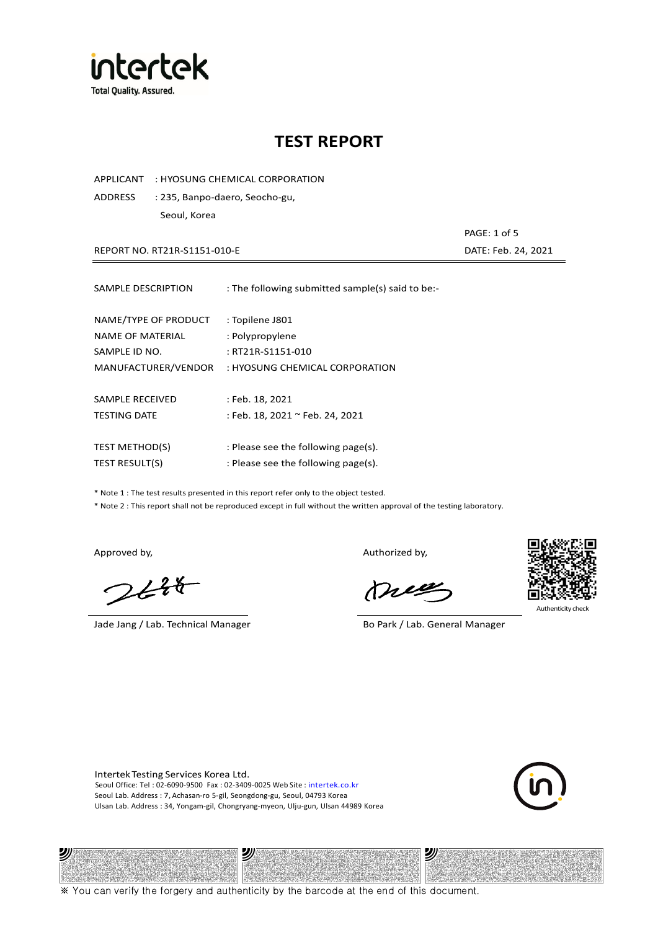

APPLICANT : HYOSUNG CHEMICAL CORPORATION

ADDRESS : 235, Banpo-daero, Seocho-gu, Seoul, Korea

 PAGE: 1 of 5 REPORT NO. RT21R-S1151-010-E DATE: Feb. 24, 2021

| SAMPLE DESCRIPTION                                                                      | : The following submitted sample(s) said to be:-                                          |
|-----------------------------------------------------------------------------------------|-------------------------------------------------------------------------------------------|
| NAME/TYPE OF PRODUCT<br><b>NAME OF MATERIAL</b><br>SAMPLE ID NO.<br>MANUFACTURER/VENDOR | : Topilene J801<br>: Polypropylene<br>: RT21R-S1151-010<br>: HYOSUNG CHEMICAL CORPORATION |
|                                                                                         |                                                                                           |
| SAMPLE RECEIVED                                                                         | : Feb. 18, 2021                                                                           |
| <b>TESTING DATE</b>                                                                     | : Feb. 18, 2021 ~ Feb. 24, 2021                                                           |
| <b>TEST METHOD(S)</b>                                                                   | : Please see the following page(s).                                                       |
| <b>TEST RESULT(S)</b>                                                                   | : Please see the following page(s).                                                       |

\* Note 1 : The test results presented in this report refer only to the object tested.

\* Note 2 : This report shall not be reproduced except in full without the written approval of the testing laboratory.

沙

 $248$ 

Jade Jang / Lab. Technical Manager Bo Park / Lab. General Manager

Approved by, Authorized by, Authorized by,

mes



Authenticity check

纱

Intertek Testing Services Korea Ltd. Seoul Office: Tel : 02-6090-9500 Fax : 02-3409-0025 Web Site : intertek.co.kr Seoul Lab. Address : 7, Achasan-ro 5-gil, Seongdong-gu, Seoul, 04793 Korea Ulsan Lab. Address : 34, Yongam-gil, Chongryang-myeon, Ulju-gun, Ulsan 44989 Korea

沙



※ You can verify the forgery and authenticity by the barcode at the end of this document.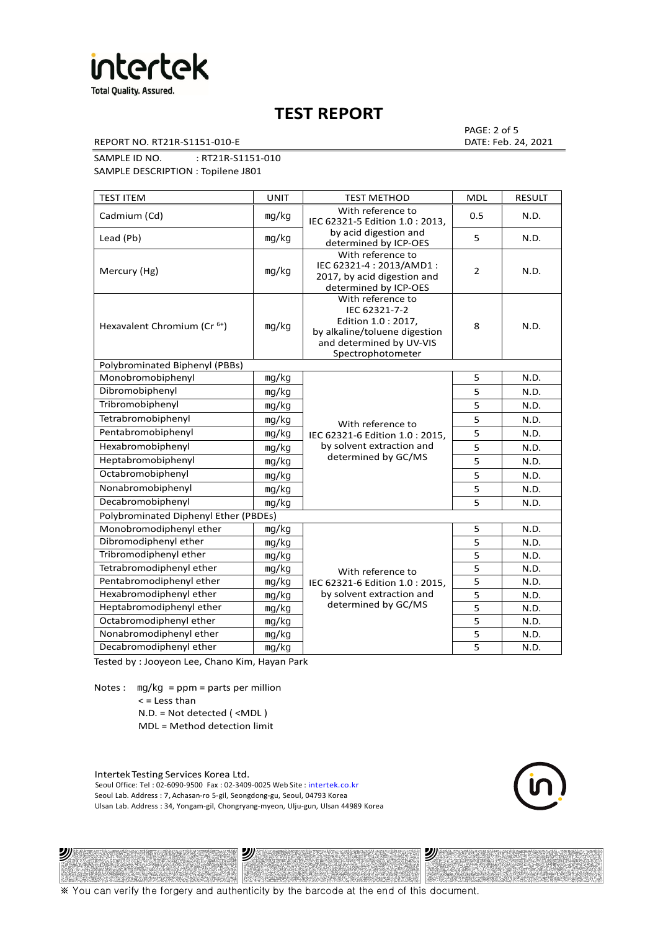

REPORT NO. RT21R-S1151-010-E DATE: Feb. 24, 2021

PAGE: 2 of 5

SAMPLE ID NO. : RT21R-S1151-010

SAMPLE DESCRIPTION : Topilene J801

| <b>TEST ITEM</b>                        | <b>UNIT</b> | <b>TEST METHOD</b>                                                                                                                          | <b>MDL</b> | <b>RESULT</b> |
|-----------------------------------------|-------------|---------------------------------------------------------------------------------------------------------------------------------------------|------------|---------------|
| Cadmium (Cd)                            | mg/kg       | With reference to<br>IEC 62321-5 Edition 1.0: 2013.                                                                                         | 0.5        | N.D.          |
| Lead (Pb)                               | mg/kg       | by acid digestion and<br>determined by ICP-OES                                                                                              | 5          | N.D.          |
| Mercury (Hg)                            | mg/kg       | With reference to<br>IEC 62321-4: 2013/AMD1:<br>2017, by acid digestion and<br>determined by ICP-OES                                        | 2          | N.D.          |
| Hexavalent Chromium (Cr <sup>6+</sup> ) | mg/kg       | With reference to<br>IEC 62321-7-2<br>Edition 1.0 : 2017,<br>by alkaline/toluene digestion<br>and determined by UV-VIS<br>Spectrophotometer | 8          | N.D.          |
| Polybrominated Biphenyl (PBBs)          |             |                                                                                                                                             |            |               |
| Monobromobiphenyl                       | mg/kg       |                                                                                                                                             | 5          | N.D.          |
| Dibromobiphenyl                         | mg/kg       |                                                                                                                                             | 5          | N.D.          |
| Tribromobiphenyl                        | mg/kg       |                                                                                                                                             | 5          | N.D.          |
| Tetrabromobiphenyl                      | mg/kg       | With reference to                                                                                                                           | 5          | N.D.          |
| Pentabromobiphenyl                      | mq/kg       | IEC 62321-6 Edition 1.0: 2015,                                                                                                              | 5          | N.D.          |
| Hexabromobiphenyl                       | mg/kg       | by solvent extraction and                                                                                                                   | 5          | N.D.          |
| Heptabromobiphenyl                      | mg/kg       | determined by GC/MS                                                                                                                         | 5          | N.D.          |
| Octabromobiphenyl                       | mg/kg       |                                                                                                                                             | 5          | N.D.          |
| Nonabromobiphenyl                       | mg/kg       |                                                                                                                                             | 5          | N.D.          |
| Decabromobiphenyl                       | mg/kg       |                                                                                                                                             | 5          | N.D.          |
| Polybrominated Diphenyl Ether (PBDEs)   |             |                                                                                                                                             |            |               |
| Monobromodiphenyl ether                 | mg/kg       |                                                                                                                                             | 5          | N.D.          |
| Dibromodiphenyl ether                   | mg/kg       |                                                                                                                                             | 5          | N.D.          |
| Tribromodiphenyl ether                  | mg/kg       |                                                                                                                                             | 5          | N.D.          |
| Tetrabromodiphenyl ether                | mg/kg       | With reference to                                                                                                                           | 5          | N.D.          |
| Pentabromodiphenyl ether                | mg/kg       | IEC 62321-6 Edition 1.0 : 2015,                                                                                                             | 5          | N.D.          |
| Hexabromodiphenyl ether                 | mq/kg       | by solvent extraction and                                                                                                                   | 5          | N.D.          |
| Heptabromodiphenyl ether                | mg/kg       | determined by GC/MS                                                                                                                         | 5          | N.D.          |
| Octabromodiphenyl ether                 | mg/kg       |                                                                                                                                             | 5          | N.D.          |
| Nonabromodiphenyl ether                 | mg/kg       |                                                                                                                                             | 5          | N.D.          |
| Decabromodiphenyl ether                 | mg/kg       |                                                                                                                                             | 5          | N.D.          |

Tested by : Jooyeon Lee, Chano Kim, Hayan Park

Notes : mg/kg = ppm = parts per million  $<$  = Less than N.D. = Not detected ( <MDL )

沙

MDL = Method detection limit

Intertek Testing Services Korea Ltd. Seoul Office: Tel : 02-6090-9500 Fax : 02-3409-0025 Web Site : intertek.co.kr Seoul Lab. Address : 7, Achasan-ro 5-gil, Seongdong-gu, Seoul, 04793 Korea Ulsan Lab. Address : 34, Yongam-gil, Chongryang-myeon, Ulju-gun, Ulsan 44989 Korea

沙



沙

※ You can verify the forgery and authenticity by the barcode at the end of this document.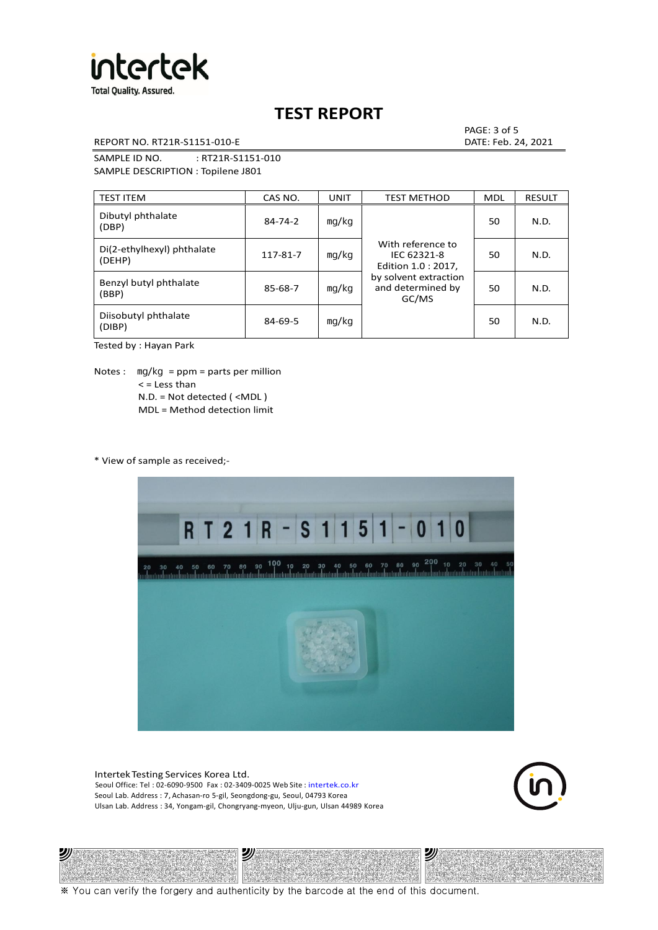

REPORT NO. RT21R-S1151-010-E DATE: Feb. 24, 2021

PAGE: 3 of 5

SAMPLE ID NO. : RT21R-S1151-010 SAMPLE DESCRIPTION : Topilene J801

| <b>TEST ITEM</b>                     | CAS NO.       | <b>UNIT</b> | <b>TEST METHOD</b>                                                                                             | <b>MDL</b> | <b>RESULT</b> |
|--------------------------------------|---------------|-------------|----------------------------------------------------------------------------------------------------------------|------------|---------------|
| Dibutyl phthalate<br>(DBP)           | $84 - 74 - 2$ | mq/kg       | With reference to<br>IEC 62321-8<br>Edition 1.0 : 2017,<br>by solvent extraction<br>and determined by<br>GC/MS | 50         | N.D.          |
| Di(2-ethylhexyl) phthalate<br>(DEHP) | 117-81-7      | mg/kg       |                                                                                                                | 50         | N.D.          |
| Benzyl butyl phthalate<br>(BBP)      | 85-68-7       | mg/kg       |                                                                                                                | 50         | N.D.          |
| Diisobutyl phthalate<br>(DIBP)       | $84 - 69 - 5$ | mg/kg       |                                                                                                                | 50         | N.D.          |

Tested by : Hayan Park

Notes :  $mq/kg = ppm = parts per million$  $<$  = Less than N.D. = Not detected ( <MDL ) MDL = Method detection limit

\* View of sample as received;-

沙



Intertek Testing Services Korea Ltd. Seoul Office: Tel : 02-6090-9500 Fax : 02-3409-0025 Web Site : intertek.co.kr Seoul Lab. Address : 7, Achasan-ro 5-gil, Seongdong-gu, Seoul, 04793 Korea Ulsan Lab. Address : 34, Yongam-gil, Chongryang-myeon, Ulju-gun, Ulsan 44989 Korea

沙



沙

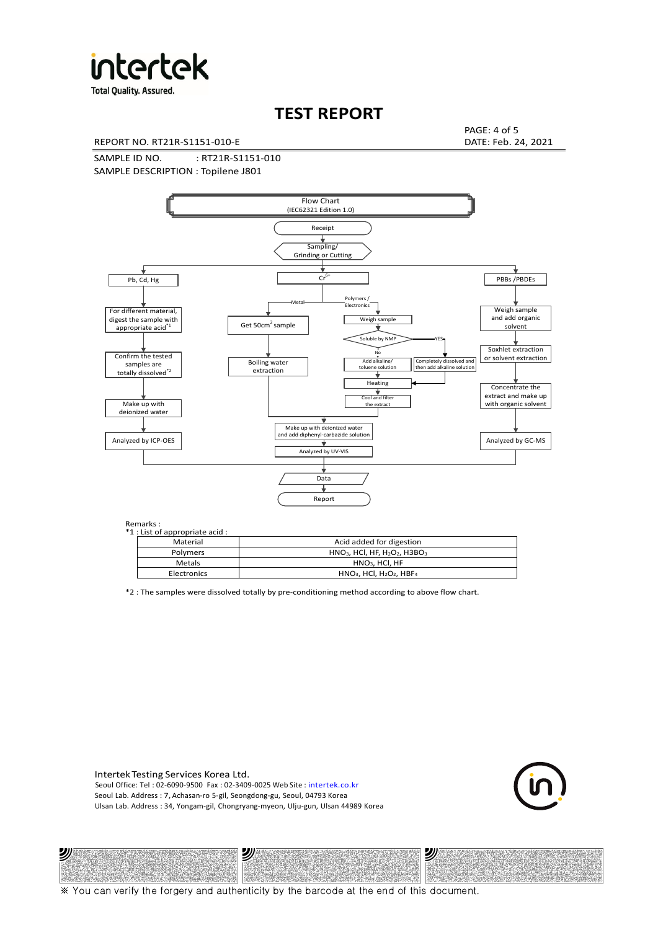

**Total Quality. Assured.** 

# **TEST REPORT**

REPORT NO. RT21R-S1151-010-E DATE: Feb. 24, 2021

PAGE: 4 of 5

SAMPLE ID NO. : RT21R-S1151-010 SAMPLE DESCRIPTION : Topilene J801



### Remarks :

沙

Y.

| .<br>1 : List of appropriate acid : |                                                                     |
|-------------------------------------|---------------------------------------------------------------------|
| Material                            | Acid added for digestion                                            |
| Polymers                            | $HNO3$ , HCl, HF, H <sub>2</sub> O <sub>2</sub> , H3BO <sub>3</sub> |
| Metals                              | $HNO3$ . HCl. HF                                                    |
| Electronics                         | $HNO3$ , HCl, H <sub>2</sub> O <sub>2</sub> , HBF <sub>4</sub>      |
|                                     |                                                                     |

\*2 : The samples were dissolved totally by pre-conditioning method according to above flow chart.

Intertek Testing Services Korea Ltd. Seoul Office: Tel : 02-6090-9500 Fax : 02-3409-0025 Web Site : intertek.co.kr Seoul Lab. Address : 7, Achasan-ro 5-gil, Seongdong-gu, Seoul, 04793 Korea Ulsan Lab. Address : 34, Yongam-gil, Chongryang-myeon, Ulju-gun, Ulsan 44989 Korea

沙



沙